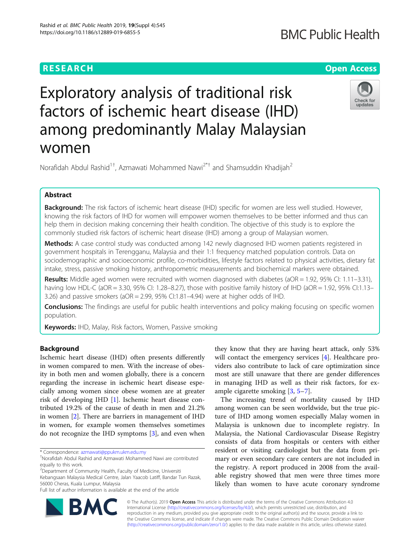### **RESEARCH CHEAR CHEAR CHEAR CHEAR CHEAR CHEAP CONTROL**

## **BMC Public Health**

### Check for updates

# Exploratory analysis of traditional risk factors of ischemic heart disease (IHD) among predominantly Malay Malaysian women

Norafidah Abdul Rashid<sup>1†</sup>, Azmawati Mohammed Nawi<sup>2\*†</sup> and Shamsuddin Khadijah<sup>2</sup>

#### Abstract

Background: The risk factors of ischemic heart disease (IHD) specific for women are less well studied. However, knowing the risk factors of IHD for women will empower women themselves to be better informed and thus can help them in decision making concerning their health condition. The objective of this study is to explore the commonly studied risk factors of ischemic heart disease (IHD) among a group of Malaysian women.

Methods: A case control study was conducted among 142 newly diagnosed IHD women patients registered in government hospitals in Terengganu, Malaysia and their 1:1 frequency matched population controls. Data on sociodemographic and socioeconomic profile, co-morbidities, lifestyle factors related to physical activities, dietary fat intake, stress, passive smoking history, anthropometric measurements and biochemical markers were obtained.

Results: Middle aged women were recruited with women diagnosed with diabetes (aOR = 1.92, 95% CI: 1.11-3.31), having low HDL-C (aOR = 3.30, 95% CI: 1.28–8.27), those with positive family history of IHD (aOR = 1.92, 95% CI:1.13– 3.26) and passive smokers ( $aOR = 2.99$ , 95% CI:1.81–4.94) were at higher odds of IHD.

Conclusions: The findings are useful for public health interventions and policy making focusing on specific women population.

Keywords: IHD, Malay, Risk factors, Women, Passive smoking

#### Background

Ischemic heart disease (IHD) often presents differently in women compared to men. With the increase of obesity in both men and women globally, there is a concern regarding the increase in ischemic heart disease especially among women since obese women are at greater risk of developing IHD [\[1](#page-6-0)]. Ischemic heart disease contributed 19.2% of the cause of death in men and 21.2% in women [\[2\]](#page-6-0). There are barriers in management of IHD in women, for example women themselves sometimes do not recognize the IHD symptoms [[3\]](#page-6-0), and even when

\* Correspondence: [azmawati@ppukm.ukm.edu.my](mailto:azmawati@ppukm.ukm.edu.my) †

<sup>2</sup> Department of Community Health, Faculty of Medicine, Universiti Kebangsaan Malaysia Medical Centre, Jalan Yaacob Latiff, Bandar Tun Razak, 56000 Cheras, Kuala Lumpur, Malaysia

Full list of author information is available at the end of the article

they know that they are having heart attack, only 53% will contact the emergency services [\[4](#page-6-0)]. Healthcare providers also contribute to lack of care optimization since most are still unaware that there are gender differences in managing IHD as well as their risk factors, for example cigarette smoking [\[3](#page-6-0), [5](#page-6-0)–[7\]](#page-6-0).

The increasing trend of mortality caused by IHD among women can be seen worldwide, but the true picture of IHD among women especially Malay women in Malaysia is unknown due to incomplete registry. In Malaysia, the National Cardiovascular Disease Registry consists of data from hospitals or centers with either resident or visiting cardiologist but the data from primary or even secondary care centers are not included in the registry. A report produced in 2008 from the available registry showed that men were three times more likely than women to have acute coronary syndrome



© The Author(s). 2019 **Open Access** This article is distributed under the terms of the Creative Commons Attribution 4.0 International License [\(http://creativecommons.org/licenses/by/4.0/](http://creativecommons.org/licenses/by/4.0/)), which permits unrestricted use, distribution, and reproduction in any medium, provided you give appropriate credit to the original author(s) and the source, provide a link to the Creative Commons license, and indicate if changes were made. The Creative Commons Public Domain Dedication waiver [\(http://creativecommons.org/publicdomain/zero/1.0/](http://creativecommons.org/publicdomain/zero/1.0/)) applies to the data made available in this article, unless otherwise stated.

Norafidah Abdul Rashid and Azmawati Mohammed Nawi are contributed equally to this work.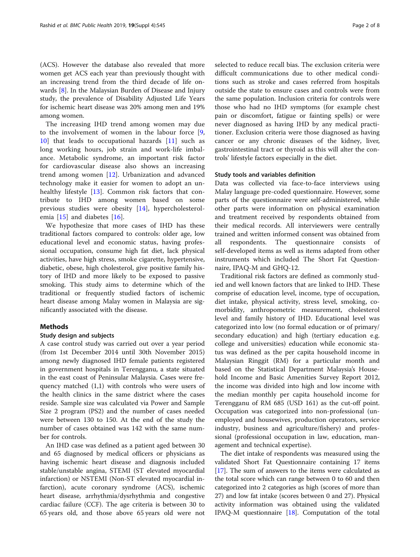(ACS). However the database also revealed that more women get ACS each year than previously thought with an increasing trend from the third decade of life onwards [[8\]](#page-6-0). In the Malaysian Burden of Disease and Injury study, the prevalence of Disability Adjusted Life Years for ischemic heart disease was 20% among men and 19% among women.

The increasing IHD trend among women may due to the involvement of women in the labour force [\[9](#page-7-0), [10\]](#page-7-0) that leads to occupational hazards [\[11](#page-7-0)] such as long working hours, job strain and work-life imbalance. Metabolic syndrome, an important risk factor for cardiovascular disease also shows an increasing trend among women [[12\]](#page-7-0). Urbanization and advanced technology make it easier for women to adopt an unhealthy lifestyle [[13\]](#page-7-0). Common risk factors that contribute to IHD among women based on some previous studies were obesity [[14\]](#page-7-0), hypercholesterolemia [[15\]](#page-7-0) and diabetes [[16](#page-7-0)].

We hypothesize that more cases of IHD has these traditional factors compared to controls: older age, low educational level and economic status, having professional occupation, consume high fat diet, lack physical activities, have high stress, smoke cigarette, hypertensive, diabetic, obese, high cholesterol, give positive family history of IHD and more likely to be exposed to passive smoking. This study aims to determine which of the traditional or frequently studied factors of ischemic heart disease among Malay women in Malaysia are significantly associated with the disease.

#### Methods

#### Study design and subjects

A case control study was carried out over a year period (from 1st December 2014 until 30th November 2015) among newly diagnosed IHD female patients registered in government hospitals in Terengganu, a state situated in the east coast of Peninsular Malaysia. Cases were frequency matched (1,1) with controls who were users of the health clinics in the same district where the cases reside. Sample size was calculated via Power and Sample Size 2 program (PS2) and the number of cases needed were between 130 to 150. At the end of the study the number of cases obtained was 142 with the same number for controls.

An IHD case was defined as a patient aged between 30 and 65 diagnosed by medical officers or physicians as having ischemic heart disease and diagnosis included stable/unstable angina, STEMI (ST elevated myocardial infarction) or NSTEMI (Non-ST elevated myocardial infarction), acute coronary syndrome (ACS), ischemic heart disease, arrhythmia/dysrhythmia and congestive cardiac failure (CCF). The age criteria is between 30 to 65 years old, and those above 65 years old were not selected to reduce recall bias. The exclusion criteria were difficult communications due to other medical conditions such as stroke and cases referred from hospitals outside the state to ensure cases and controls were from the same population. Inclusion criteria for controls were those who had no IHD symptoms (for example chest pain or discomfort, fatigue or fainting spells) or were never diagnosed as having IHD by any medical practitioner. Exclusion criteria were those diagnosed as having cancer or any chronic diseases of the kidney, liver, gastrointestinal tract or thyroid as this will alter the controls' lifestyle factors especially in the diet.

#### Study tools and variables definition

Data was collected via face-to-face interviews using Malay language pre-coded questionnaire. However, some parts of the questionnaire were self-administered, while other parts were information on physical examination and treatment received by respondents obtained from their medical records. All interviewers were centrally trained and written informed consent was obtained from all respondents. The questionnaire consists of self-developed items as well as items adapted from other instruments which included The Short Fat Questionnaire, IPAQ-M and GHQ-12.

Traditional risk factors are defined as commonly studied and well known factors that are linked to IHD. These comprise of education level, income, type of occupation, diet intake, physical activity, stress level, smoking, comorbidity, anthropometric measurement, cholesterol level and family history of IHD. Educational level was categorized into low (no formal education or of primary/ secondary education) and high (tertiary education e.g. college and universities) education while economic status was defined as the per capita household income in Malaysian Ringgit (RM) for a particular month and based on the Statistical Department Malaysia's Household Income and Basic Amenities Survey Report 2012, the income was divided into high and low income with the median monthly per capita household income for Terengganu of RM 685 (USD 161) as the cut-off point. Occupation was categorized into non-professional (unemployed and housewives, production operators, service industry, business and agriculture/fishery) and professional (professional occupation in law, education, management and technical expertise).

The diet intake of respondents was measured using the validated Short Fat Questionnaire containing 17 items [[17](#page-7-0)]. The sum of answers to the items were calculated as the total score which can range between 0 to 60 and then categorized into 2 categories as high (scores of more than 27) and low fat intake (scores between 0 and 27). Physical activity information was obtained using the validated IPAQ-M questionnaire [[18](#page-7-0)]. Computation of the total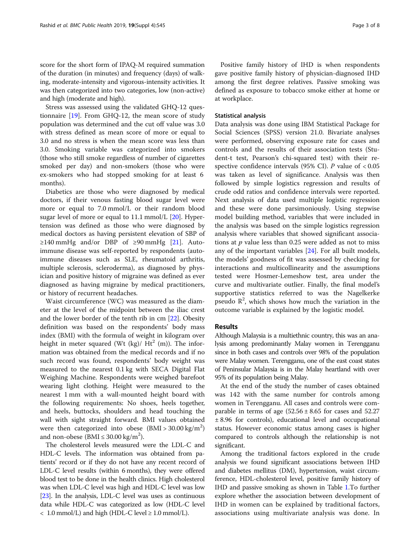Stress was assessed using the validated GHQ-12 questionnaire [[19](#page-7-0)]. From GHQ-12, the mean score of study population was determined and the cut off value was 3.0 with stress defined as mean score of more or equal to 3.0 and no stress is when the mean score was less than 3.0. Smoking variable was categorized into smokers (those who still smoke regardless of number of cigarettes smoked per day) and non-smokers (those who were ex-smokers who had stopped smoking for at least 6 months).

Diabetics are those who were diagnosed by medical doctors, if their venous fasting blood sugar level were more or equal to 7.0 mmol/L or their random blood sugar level of more or equal to 11.1 mmol/L [[20\]](#page-7-0). Hypertension was defined as those who were diagnosed by medical doctors as having persistent elevation of SBP of  $≥140$  mmHg and/or DBP of  $≥90$  mmHg [\[21](#page-7-0)]. Autoimmune disease was self-reported by respondents (autoimmune diseases such as SLE, rheumatoid arthritis, multiple sclerosis, scleroderma), as diagnosed by physician and positive history of migraine was defined as ever diagnosed as having migraine by medical practitioners, or history of recurrent headaches.

Waist circumference (WC) was measured as the diameter at the level of the midpoint between the iliac crest and the lower border of the tenth rib in cm [\[22](#page-7-0)]. Obesity definition was based on the respondents' body mass index (BMI) with the formula of weight in kilogram over height in meter squared (Wt (kg)/  $Ht^2$  (m)). The information was obtained from the medical records and if no such record was found, respondents' body weight was measured to the nearest 0.1 kg with SECA Digital Flat Weighing Machine. Respondents were weighed barefoot wearing light clothing. Height were measured to the nearest 1 mm with a wall-mounted height board with the following requirements: No shoes, heels together, and heels, buttocks, shoulders and head touching the wall with sight straight forward. BMI values obtained were then categorized into obese  $(BMI > 30.00 \text{ kg/m}^2)$ and non-obese (BMI  $\leq 30.00 \text{ kg/m}^2$ ).

The cholesterol levels measured were the LDL-C and HDL-C levels. The information was obtained from patients' record or if they do not have any recent record of LDL-C level results (within 6 months), they were offered blood test to be done in the health clinics. High cholesterol was when LDL-C level was high and HDL-C level was low [[23](#page-7-0)]. In the analysis, LDL-C level was uses as continuous data while HDL-C was categorized as low (HDL-C level  $< 1.0$  mmol/L) and high (HDL-C level  $\ge 1.0$  mmol/L).

Positive family history of IHD is when respondents gave positive family history of physician-diagnosed IHD among the first degree relatives. Passive smoking was defined as exposure to tobacco smoke either at home or at workplace.

#### Statistical analysis

Data analysis was done using IBM Statistical Package for Social Sciences (SPSS) version 21.0. Bivariate analyses were performed, observing exposure rate for cases and controls and the results of their association tests (Student-t test, Pearson's chi-squared test) with their respective confidence intervals (95% CI). P value of  $< 0.05$ was taken as level of significance. Analysis was then followed by simple logistics regression and results of crude odd ratios and confidence intervals were reported. Next analysis of data used multiple logistic regression and these were done parsimoniously. Using stepwise model building method, variables that were included in the analysis was based on the simple logistics regression analysis where variables that showed significant associations at  $p$  value less than 0.25 were added as not to miss any of the important variables [\[24](#page-7-0)]. For all built models, the models' goodness of fit was assessed by checking for interactions and multicollinearity and the assumptions tested were Hosmer-Lemeshow test, area under the curve and multivariate outlier. Finally, the final model's supportive statistics referred to was the Nagelkerke pseudo  $\mathbb{R}^2$ , which shows how much the variation in the outcome variable is explained by the logistic model.

#### Results

Although Malaysia is a multiethnic country, this was an analysis among predominantly Malay women in Terengganu since in both cases and controls over 98% of the population were Malay women. Terengganu, one of the east coast states of Peninsular Malaysia is in the Malay heartland with over 95% of its population being Malay.

At the end of the study the number of cases obtained was 142 with the same number for controls among women in Terengganu. All cases and controls were comparable in terms of age  $(52.56 \pm 8.65)$  for cases and 52.27 ± 8.96 for controls), educational level and occupational status. However economic status among cases is higher compared to controls although the relationship is not significant.

Among the traditional factors explored in the crude analysis we found significant associations between IHD and diabetes mellitus (DM), hypertension, waist circumference, HDL-cholesterol level, positive family history of IHD and passive smoking as shown in Table [1.](#page-3-0)To further explore whether the association between development of IHD in women can be explained by traditional factors, associations using multivariate analysis was done. In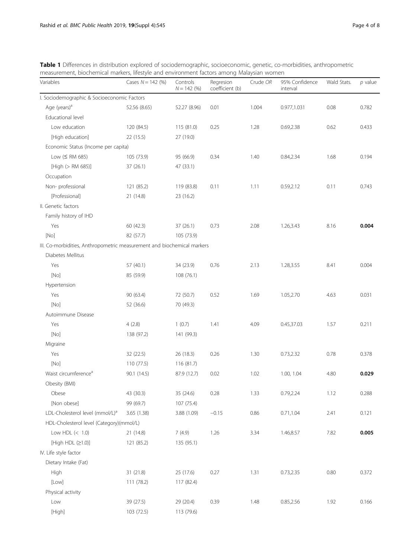| Variables                                                               | Cases $N = 142$ (%) | Controls<br>$N = 142$ (%) | Regresion<br>coefficient (b) | Crude OR | 95% Confidence<br>interval | Wald Stats. | $p$ value |
|-------------------------------------------------------------------------|---------------------|---------------------------|------------------------------|----------|----------------------------|-------------|-----------|
| I. Sociodemographic & Socioeconomic Factors                             |                     |                           |                              |          |                            |             |           |
| Age (years) <sup>a</sup>                                                | 52.56 (8.65)        | 52.27 (8.96)              | 0.01                         | 1.004    | 0.977,1.031                | 0.08        | 0.782     |
| Educational level                                                       |                     |                           |                              |          |                            |             |           |
| Low education                                                           | 120 (84.5)          | 115 (81.0)                | 0.25                         | 1.28     | 0.69,2.38                  | 0.62        | 0.433     |
| [High education]                                                        | 22(15.5)            | 27 (19.0)                 |                              |          |                            |             |           |
| Economic Status (Income per capita)                                     |                     |                           |                              |          |                            |             |           |
| Low $(S$ RM 685)                                                        | 105 (73.9)          | 95 (66.9)                 | 0.34                         | 1.40     | 0.84,2.34                  | 1.68        | 0.194     |
| [High (> RM 685)]                                                       | 37(26.1)            | 47 (33.1)                 |                              |          |                            |             |           |
| Occupation                                                              |                     |                           |                              |          |                            |             |           |
| Non-professional                                                        | 121 (85.2)          | 119 (83.8)                | 0.11                         | 1.11     | 0.59,2.12                  | 0.11        | 0.743     |
| [Professional]                                                          | 21 (14.8)           | 23 (16.2)                 |                              |          |                            |             |           |
| II. Genetic factors                                                     |                     |                           |                              |          |                            |             |           |
| Family history of IHD                                                   |                     |                           |                              |          |                            |             |           |
| Yes                                                                     | 60 (42.3)           | 37(26.1)                  | 0.73                         | 2.08     | 1.26,3.43                  | 8.16        | 0.004     |
| [No]                                                                    | 82 (57.7)           | 105 (73.9)                |                              |          |                            |             |           |
| III. Co-morbidities, Anthropometric measurement and biochemical markers |                     |                           |                              |          |                            |             |           |
| Diabetes Mellitus                                                       |                     |                           |                              |          |                            |             |           |
| Yes                                                                     | 57 (40.1)           | 34 (23.9)                 | 0.76                         | 2.13     | 1.28,3.55                  | 8.41        | 0.004     |
| [No]                                                                    | 85 (59.9)           | 108 (76.1)                |                              |          |                            |             |           |
| Hypertension                                                            |                     |                           |                              |          |                            |             |           |
| Yes                                                                     | 90 (63.4)           | 72 (50.7)                 | 0.52                         | 1.69     | 1.05,2.70                  | 4.63        | 0.031     |
| [No]                                                                    | 52 (36.6)           | 70 (49.3)                 |                              |          |                            |             |           |
| Autoimmune Disease                                                      |                     |                           |                              |          |                            |             |           |
| Yes                                                                     | 4(2.8)              | 1(0.7)                    | 1.41                         | 4.09     | 0.45,37.03                 | 1.57        | 0.211     |
| [No]                                                                    | 138 (97.2)          | 141 (99.3)                |                              |          |                            |             |           |
| Migraine                                                                |                     |                           |                              |          |                            |             |           |
| Yes                                                                     | 32 (22.5)           | 26 (18.3)                 | 0.26                         | 1.30     | 0.73,2.32                  | 0.78        | 0.378     |
| [No]                                                                    | 110 (77.5)          | 116 (81.7)                |                              |          |                            |             |           |
| Waist circumference <sup>a</sup>                                        | 90.1 (14.5)         | 87.9 (12.7)               | 0.02                         | 1.02     | 1.00, 1.04                 | 4.80        | 0.029     |
| Obesity (BMI)                                                           |                     |                           |                              |          |                            |             |           |
| Obese                                                                   | 43 (30.3)           | 35 (24.6)                 | 0.28                         | 1.33     | 0.79,2.24                  | 1.12        | 0.288     |
| [Non obese]                                                             | 99 (69.7)           | 107 (75.4)                |                              |          |                            |             |           |
| LDL-Cholesterol level (mmol/L) <sup>a</sup>                             | 3.65 (1.38)         | 3.88 (1.09)               | $-0.15$                      | 0.86     | 0.71, 1.04                 | 2.41        | 0.121     |
| HDL-Cholesterol level (Category)(mmol/L)                                |                     |                           |                              |          |                            |             |           |
| Low HDL $(< 1.0)$                                                       | 21(14.8)            | 7(4.9)                    | 1.26                         | 3.34     | 1.46,8.57                  | 7.82        | 0.005     |
| [High HDL (≥1.0)]                                                       | 121 (85.2)          | 135 (95.1)                |                              |          |                            |             |           |
| IV. Life style factor                                                   |                     |                           |                              |          |                            |             |           |
| Dietary Intake (Fat)                                                    |                     |                           |                              |          |                            |             |           |
| High                                                                    | 31(21.8)            | 25 (17.6)                 | 0.27                         | 1.31     | 0.73,2.35                  | 0.80        | 0.372     |
| [Low]                                                                   | 111(78.2)           | 117 (82.4)                |                              |          |                            |             |           |
| Physical activity                                                       |                     |                           |                              |          |                            |             |           |
| Low                                                                     | 39 (27.5)           | 29 (20.4)                 | 0.39                         | 1.48     | 0.85,2.56                  | 1.92        | 0.166     |
| [High]                                                                  | 103 (72.5)          | 113 (79.6)                |                              |          |                            |             |           |

<span id="page-3-0"></span>Table 1 Differences in distribution explored of sociodemographic, socioeconomic, genetic, co-morbidities, anthropometric measurement, biochemical markers, lifestyle and environment factors among Malaysian women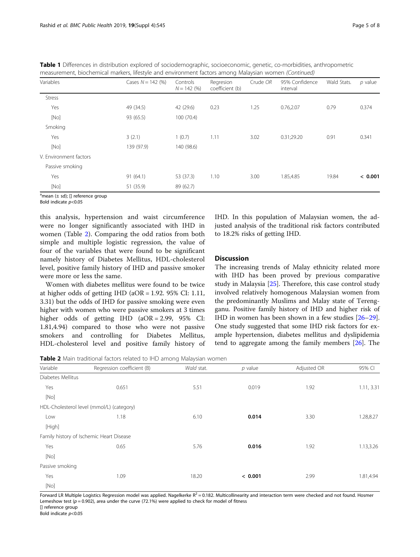| Variables              | Cases $N = 142$ (%) | Controls<br>$N = 142(96)$ | Regresion<br>coefficient (b) | Crude OR | 95% Confidence<br>interval | Wald Stats. | $p$ value |
|------------------------|---------------------|---------------------------|------------------------------|----------|----------------------------|-------------|-----------|
| <b>Stress</b>          |                     |                           |                              |          |                            |             |           |
| Yes                    | 49 (34.5)           | 42 (29.6)                 | 0.23                         | 1.25     | 0.76,2.07                  | 0.79        | 0.374     |
| [No]                   | 93 (65.5)           | 100 (70.4)                |                              |          |                            |             |           |
| Smoking                |                     |                           |                              |          |                            |             |           |
| Yes                    | 3(2.1)              | 1(0.7)                    | 1.11                         | 3.02     | 0.31;29.20                 | 0.91        | 0.341     |
| [No]                   | 139 (97.9)          | 140 (98.6)                |                              |          |                            |             |           |
| V. Environment factors |                     |                           |                              |          |                            |             |           |
| Passive smoking        |                     |                           |                              |          |                            |             |           |
| Yes                    | 91(64.1)            | 53 (37.3)                 | 1.10                         | 3.00     | 1.85,4.85                  | 19.84       | < 0.001   |
| [No]                   | 51 (35.9)           | 89 (62.7)                 |                              |          |                            |             |           |

Table 1 Differences in distribution explored of sociodemographic, socioeconomic, genetic, co-morbidities, anthropometric measurement, biochemical markers, lifestyle and environment factors among Malaysian women (Continued)

<sup>a</sup>mean (± sd); [] reference group

Bold indicate p<0.05

this analysis, hypertension and waist circumference were no longer significantly associated with IHD in women (Table 2). Comparing the odd ratios from both simple and multiple logistic regression, the value of four of the variables that were found to be significant namely history of Diabetes Mellitus, HDL-cholesterol level, positive family history of IHD and passive smoker were more or less the same.

Women with diabetes mellitus were found to be twice at higher odds of getting IHD ( $aOR = 1.92$ . 95% CI: 1.11, 3.31) but the odds of IHD for passive smoking were even higher with women who were passive smokers at 3 times higher odds of getting IHD (aOR = 2.99, 95% CI: 1.81,4.94) compared to those who were not passive smokers and controlling for Diabetes Mellitus, HDL-cholesterol level and positive family history of IHD. In this population of Malaysian women, the adjusted analysis of the traditional risk factors contributed to 18.2% risks of getting IHD.

#### Discussion

The increasing trends of Malay ethnicity related more with IHD has been proved by previous comparative study in Malaysia [\[25](#page-7-0)]. Therefore, this case control study involved relatively homogenous Malaysian women from the predominantly Muslims and Malay state of Terengganu. Positive family history of IHD and higher risk of IHD in women has been shown in a few studies [[26](#page-7-0)–[29](#page-7-0)]. One study suggested that some IHD risk factors for example hypertension, diabetes mellitus and dyslipidemia tend to aggregate among the family members [\[26](#page-7-0)]. The

**Table 2** Main traditional factors related to IHD among Malaysian women

| Variable          | Regression coefficient (B)                | Wald stat. | $p$ value | Adjusted OR | 95% CI     |
|-------------------|-------------------------------------------|------------|-----------|-------------|------------|
| Diabetes Mellitus |                                           |            |           |             |            |
| Yes               | 0.651                                     | 5.51       | 0.019     | 1.92        | 1.11, 3.31 |
| [No]              |                                           |            |           |             |            |
|                   | HDL-Cholesterol level (mmol/L) (category) |            |           |             |            |
| Low               | 1.18                                      | 6.10       | 0.014     | 3.30        | 1.28,8.27  |
| [High]            |                                           |            |           |             |            |
|                   | Family history of Ischemic Heart Disease  |            |           |             |            |
| Yes               | 0.65                                      | 5.76       | 0.016     | 1.92        | 1.13,3.26  |
| [No]              |                                           |            |           |             |            |
| Passive smoking   |                                           |            |           |             |            |
| Yes               | 1.09                                      | 18.20      | < 0.001   | 2.99        | 1.81,4.94  |
| [No]              |                                           |            |           |             |            |

Forward LR Multiple Logistics Regression model was applied. Nagelkerke  $R^2 = 0.182$ . Multicollinearity and interaction term were checked and not found. Hosmer Lemeshow test ( $p = 0.902$ ), area under the curve (72.1%) were applied to check for model of fitness [] reference group

Bold indicate  $p<$  0.05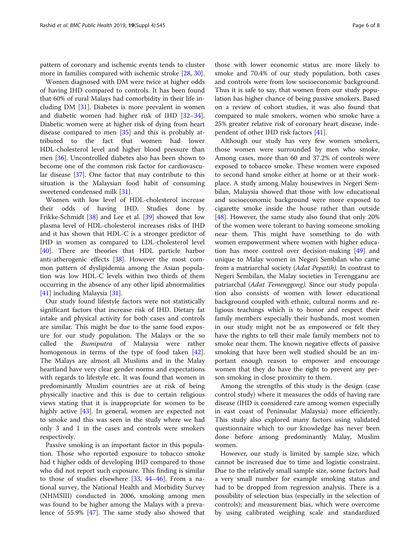pattern of coronary and ischemic events tends to cluster more in families compared with ischemic stroke [\[28](#page-7-0), [30\]](#page-7-0).

Women diagnosed with DM were twice at higher odds of having IHD compared to controls. It has been found that 60% of rural Malays had comorbidity in their life including DM [[31\]](#page-7-0). Diabetes is more prevalent in women and diabetic women had higher risk of IHD [[32](#page-7-0)–[34](#page-7-0)]. Diabetic women were at higher risk of dying from heart disease compared to men [[35\]](#page-7-0) and this is probably attributed to the fact that women had lower HDL-cholesterol level and higher blood pressure than men [\[36](#page-7-0)]. Uncontrolled diabetes also has been shown to become one of the common risk factor for cardiovascular disease [\[37](#page-7-0)]. One factor that may contribute to this situation is the Malaysian food habit of consuming sweetened condensed milk [\[31](#page-7-0)].

Women with low level of HDL-cholesterol increase their odds of having IHD. Studies done by Frikke-Schmidt [\[38\]](#page-7-0) and Lee et al. [[39\]](#page-7-0) showed that low plasma level of HDL-cholesterol increases risks of IHD and it has shown that HDL-C is a stronger predictor of IHD in women as compared to LDL-cholesterol level [[40\]](#page-7-0). There are theories that HDL particle harbor anti-atherogenic effects  $[38]$  $[38]$ . However the most common pattern of dyslipidemia among the Asian population was low HDL-C levels within two thirds of them occurring in the absence of any other lipid abnormalities [[41\]](#page-7-0) including Malaysia [[31](#page-7-0)].

Our study found lifestyle factors were not statistically significant factors that increase risk of IHD. Dietary fat intake and physical activity for both cases and controls are similar. This might be due to the same food exposure for our study population. The Malays or the so called the Bumiputra of Malaysia were rather homogenous in terms of the type of food taken [\[42](#page-7-0)]. The Malays are almost all Muslims and in the Malay heartland have very clear gender norms and expectations with regards to lifestyle etc. It was found that women in predominantly Muslim countries are at risk of being physically inactive and this is due to certain religious views stating that it is inappropriate for women to be highly active [[43\]](#page-7-0). In general, women are expected not to smoke and this was seen in the study where we had only 3 and 1 in the cases and controls were smokers respectively.

Passive smoking is an important factor in this population. Those who reported exposure to tobacco smoke had t higher odds of developing IHD compared to those who did not report such exposure. This finding is similar to those of studies elsewhere [\[33,](#page-7-0) [44](#page-7-0)–[46](#page-7-0)]. From a national survey, the National Health and Morbidity Survey (NHMSIII) conducted in 2006, smoking among men was found to be higher among the Malays with a prevalence of 55.9% [\[47](#page-7-0)]. The same study also showed that

those with lower economic status are more likely to smoke and 70.4% of our study population, both cases and controls were from low socioeconomic background. Thus it is safe to say, that women from our study population has higher chance of being passive smokers. Based on a review of cohort studies, it was also found that compared to male smokers, women who smoke have a 25% greater relative risk of coronary heart disease, independent of other IHD risk factors [[41\]](#page-7-0).

Although our study has very few women smokers, those women were surrounded by men who smoke. Among cases, more than 60 and 37.2% of controls were exposed to tobacco smoke. These women were exposed to second hand smoke either at home or at their workplace. A study among Malay housewives in Negeri Sembilan, Malaysia showed that those with low educational and socioeconomic background were more exposed to cigarette smoke inside the house rather than outside [[48\]](#page-7-0). However, the same study also found that only 20% of the women were tolerant to having someone smoking near them. This might have something to do with women empowerment where women with higher education has more control over decision-making [\[49](#page-7-0)] and unique to Malay women in Negeri Sembilan who came from a matriarchal society (Adat Pepatih). In contrast to Negeri Sembilan, the Malay societies in Terengganu are patriarchal (Adat Temenggong). Since our study population also consists of women with lower educational background coupled with ethnic, cultural norms and religious teachings which is to honor and respect their family members especially their husbands, most women in our study might not be as empowered or felt they have the rights to tell their male family members not to smoke near them. The known negative effects of passive smoking that have been well studied should be an important enough reason to empower and encourage women that they do have the right to prevent any person smoking in close proximity to them.

Among the strengths of this study is the design (case control study) where it measures the odds of having rare disease (IHD is considered rare among women especially in east coast of Peninsular Malaysia) more efficiently. This study also explored many factors using validated questionnaire which to our knowledge has never been done before among predominantly Malay, Muslim women.

However, our study is limited by sample size, which cannot be increased due to time and logistic constraint. Due to the relatively small sample size, some factors had a very small number for example smoking status and had to be dropped from regression analysis. There is a possibility of selection bias (especially in the selection of controls); and measurement bias, which were overcome by using calibrated weighing scale and standardized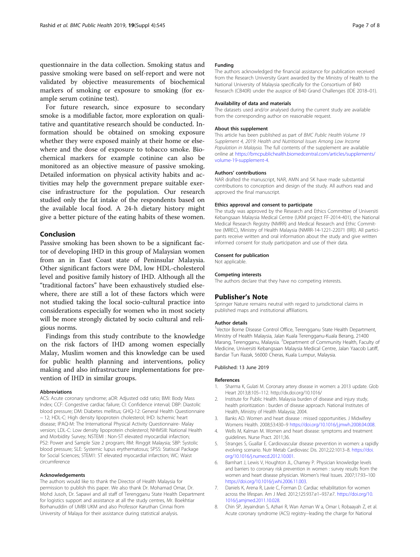<span id="page-6-0"></span>questionnaire in the data collection. Smoking status and passive smoking were based on self-report and were not validated by objective measurements of biochemical markers of smoking or exposure to smoking (for example serum cotinine test).

For future research, since exposure to secondary smoke is a modifiable factor, more exploration on qualitative and quantitative research should be conducted. Information should be obtained on smoking exposure whether they were exposed mainly at their home or elsewhere and the dose of exposure to tobacco smoke. Biochemical markers for example cotinine can also be monitored as an objective measure of passive smoking. Detailed information on physical activity habits and activities may help the government prepare suitable exercise infrastructure for the population. Our research studied only the fat intake of the respondents based on the available local food. A 24-h dietary history might give a better picture of the eating habits of these women.

#### Conclusion

Passive smoking has been shown to be a significant factor of developing IHD in this group of Malaysian women from an in East Coast state of Peninsular Malaysia. Other significant factors were DM, low HDL-cholesterol level and positive family history of IHD. Although all the "traditional factors" have been exhaustively studied elsewhere, there are still a lot of these factors which were not studied taking the local socio-cultural practice into considerations especially for women who in most society will be more strongly dictated by socio cultural and religious norms.

Findings from this study contribute to the knowledge on the risk factors of IHD among women especially Malay, Muslim women and this knowledge can be used for public health planning and interventions, policy making and also infrastructure implementations for prevention of IHD in similar groups.

#### Abbreviations

ACS: Acute coronary syndrome; aOR: Adjusted odd ratio; BMI: Body Mass Index; CCF: Congestive cardiac failure; CI: Confidence interval; DBP: Diastolic blood pressure; DM: Diabetes mellitus; GHQ-12: General Health Questionnaire − 12; HDL-C: High density lipoprotein cholesterol; IHD: Ischemic heart disease; IPAQ-M: The International Physical Activity Questionnaire- Malay version; LDL-C: Low density lipoprotein cholesterol; NHMSIII: National Health and Morbidity Survey; NSTEMI : Non-ST elevated myocardial infarction; PS2: Power and Sample Size 2 program; RM: Ringgit Malaysia; SBP: Systolic blood pressure; SLE: Systemic lupus erythematosus; SPSS: Statiscal Package for Social Sciences; STEM1: ST elevated myocardial infarction; WC: Waist circumference

#### Acknowledgements

The authors would like to thank the Director of Health Malaysia for permission to publish this paper. We also thank Dr. Mohamad Omar, Dr. Mohd Jusoh, Dr. Sapawi and all staff of Terengganu State Health Department for logistics support and assistance at all the study centres, Mr. Boekhtiar Borhanuddin of UMBI UKM and also Professor Karuthan Cinnai from University of Malaya for their assistance during statistical analysis.

#### Funding

The authors acknowledged the financial assistance for publication received from the Research University Grant awarded by the Ministry of Health to the National University of Malaysia specifically for the Consortium of B40 Research (CB40R) under the auspice of B40 Grand Challenges (IDE 2018–01).

#### Availability of data and materials

The datasets used and/or analysed during the current study are available from the corresponding author on reasonable request.

#### About this supplement

This article has been published as part of BMC Public Health Volume 19 Supplement 4, 2019: Health and Nutritional Issues Among Low Income Population in Malaysia. The full contents of the supplement are available online at [https://bmcpublichealth.biomedcentral.com/articles/supplements/](https://bmcpublichealth.biomedcentral.com/articles/supplements/volume-19-supplement-4) [volume-19-supplement-4.](https://bmcpublichealth.biomedcentral.com/articles/supplements/volume-19-supplement-4)

#### Authors' contributions

NAR drafted the manuscript, NAR, AMN and SK have made substantial contributions to conception and design of the study. All authors read and approved the final manuscript.

#### Ethics approval and consent to participate

The study was approved by the Research and Ethics Committee of Universiti Kebangsaan Malaysia Medical Centre (UKM project FF-2014-401), the National Medical Research Registry (NMRR) and Medical Research and Ethic Committee (MREC), Ministry of Health Malaysia (NMRR-14-1221-22071 (IIR)). All participants receive written and oral information about the study and give written informed consent for study participation and use of their data.

#### Consent for publication

Not applicable.

#### Competing interests

The authors declare that they have no competing interests.

#### Publisher's Note

Springer Nature remains neutral with regard to jurisdictional claims in published maps and institutional affiliations.

#### Author details

<sup>1</sup>Vector Borne Disease Control Office, Terengganu State Health Department, Ministry of Health Malaysia, Jalan Kuala Terengganu-Kuala Berang, 21400 Marang, Terengganu, Malaysia. <sup>2</sup>Department of Community Health, Faculty of Medicine, Universiti Kebangsaan Malaysia Medical Centre, Jalan Yaacob Latiff, Bandar Tun Razak, 56000 Cheras, Kuala Lumpur, Malaysia.

#### Published: 13 June 2019

#### References

- 1. Sharma K, Gulati M. Coronary artery disease in women: a 2013 update. Glob Heart 2013;8:105–112. http://dx.doi.org/10.1016/
- 2. Institute for Public Health. Malaysia burden of disease and injury study, health prioritization : burden of disease approach. National Institutes of Health, Ministry of Health Malaysia; 2004.
- 3. Banks AD. Women and heart disease : missed opportunities. J Midwifery Womens Health. 2008;53:430–9 <https://doi.org/10.1016/j.jmwh.2008.04.008>.
- 4. Wells M, Kalman M. Women and heart disease: symptoms and treatment guidelines. Nurse Pract. 2011;36.
- Stranges S, Guallar E. Cardiovascular disease prevention in women: a rapidly evolving scenario. Nutr Metab Cardiovasc Dis. 2012;22:1013–8. [https://doi.](https://doi.org/10.1016/j.numecd.2012.10.001) [org/10.1016/j.numecd.2012.10.001.](https://doi.org/10.1016/j.numecd.2012.10.001)
- 6. Barnhart J, Lewis V, Houghton JL, Charney P. Physician knowledge levels and barriers to coronary risk prevention in women : survey results from the women and heart disease physician. Women's Heal Issues. 2007;17:93–100 <https://doi.org/10.1016/j.whi.2006.11.003>.
- 7. Daniels K, Arena R, Lavie C, Forman D. Cardiac rehabilitation for women across the lifespan. Am J Med. 2012;125:937.e1–937.e7. [https://doi.org/10.](https://doi.org/10.1016/j.amjmed.2011.10.028) [1016/j.amjmed.2011.10.028](https://doi.org/10.1016/j.amjmed.2011.10.028).
- 8. Chin SP, Jeyaindran S, Azhari R, Wan Azman W a, Omar I, Robaayah Z, et al. Acute coronary syndrome (ACS) registry--leading the charge for National